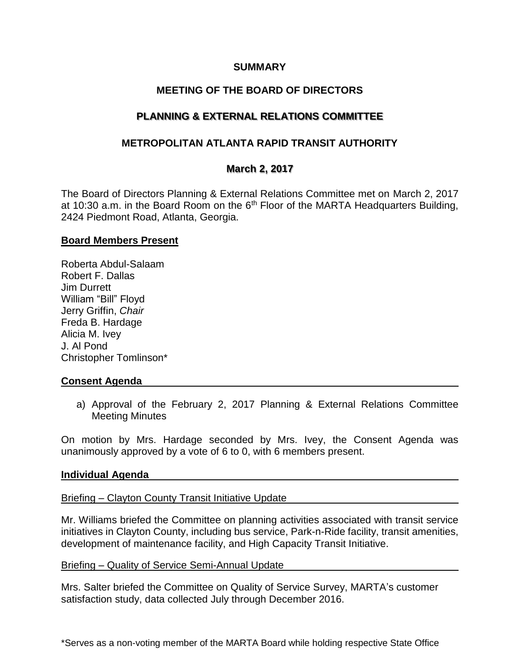### **SUMMARY**

# **MEETING OF THE BOARD OF DIRECTORS**

# **PLANNING & EXTERNAL RELATIONS COMMITTEE**

## **METROPOLITAN ATLANTA RAPID TRANSIT AUTHORITY**

### **March 2, 2017**

The Board of Directors Planning & External Relations Committee met on March 2, 2017 at 10:30 a.m. in the Board Room on the  $6<sup>th</sup>$  Floor of the MARTA Headquarters Building, 2424 Piedmont Road, Atlanta, Georgia.

### **Board Members Present**

Roberta Abdul-Salaam Robert F. Dallas Jim Durrett William "Bill" Floyd Jerry Griffin, *Chair* Freda B. Hardage Alicia M. Ivey J. Al Pond Christopher Tomlinson\*

### **Consent Agenda**

a) Approval of the February 2, 2017 Planning & External Relations Committee Meeting Minutes

On motion by Mrs. Hardage seconded by Mrs. Ivey, the Consent Agenda was unanimously approved by a vote of 6 to 0, with 6 members present.

### **Individual Agenda**

### Briefing – Clayton County Transit Initiative Update

Mr. Williams briefed the Committee on planning activities associated with transit service initiatives in Clayton County, including bus service, Park-n-Ride facility, transit amenities, development of maintenance facility, and High Capacity Transit Initiative.

### Briefing – Quality of Service Semi-Annual Update

Mrs. Salter briefed the Committee on Quality of Service Survey, MARTA's customer satisfaction study, data collected July through December 2016.